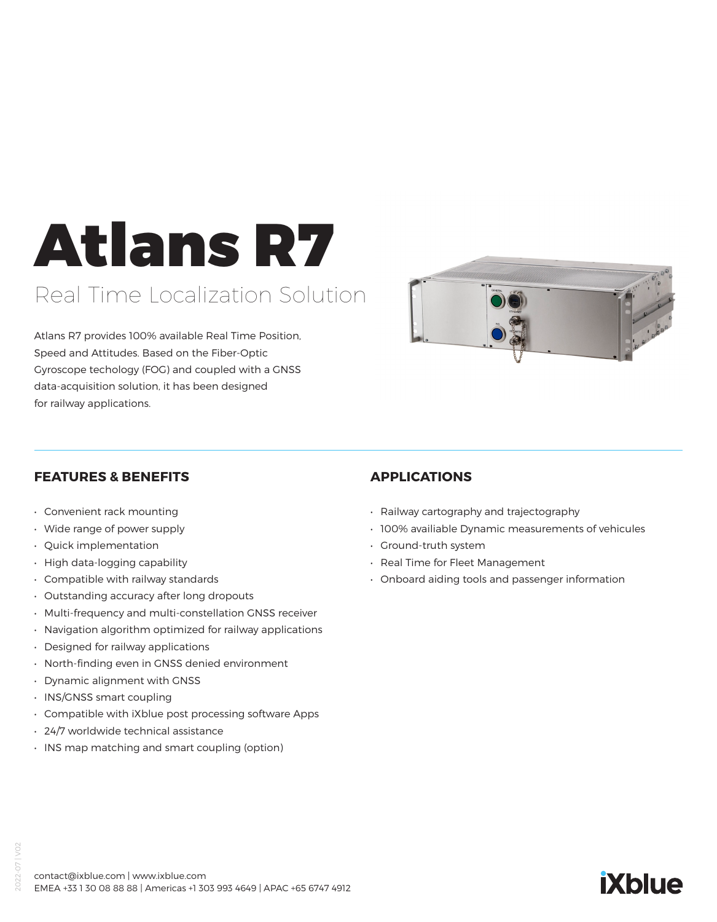# Atlans R7

### Real Time Localization Solution

Atlans R7 provides 100% available Real Time Position, Speed and Attitudes. Based on the Fiber-Optic Gyroscope techology (FOG) and coupled with a GNSS data-acquisition solution, it has been designed for railway applications.



#### **FEATURES & BENEFITS**

- Convenient rack mounting
- Wide range of power supply
- Quick implementation
- High data-logging capability
- Compatible with railway standards
- Outstanding accuracy after long dropouts
- Multi-frequency and multi-constellation GNSS receiver
- Navigation algorithm optimized for railway applications
- Designed for railway applications
- North-finding even in GNSS denied environment
- Dynamic alignment with GNSS
- INS/GNSS smart coupling
- Compatible with iXblue post processing software Apps
- 24/7 worldwide technical assistance
- INS map matching and smart coupling (option)

#### **APPLICATIONS**

- Railway cartography and trajectography
- 100% availiable Dynamic measurements of vehicules
- Ground-truth system
- Real Time for Fleet Management
- Onboard aiding tools and passenger information

# **iXblue**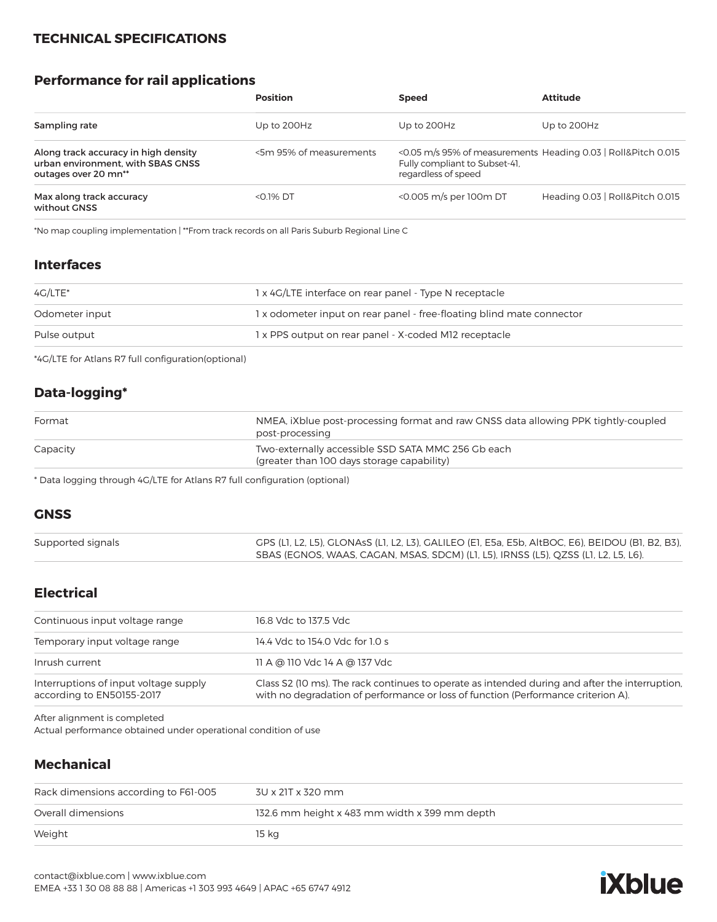#### **TECHNICAL SPECIFICATIONS**

#### **Performance for rail applications**

|                                                                                                   | <b>Position</b>         | <b>Speed</b>                                                                                                          | <b>Attitude</b>                 |
|---------------------------------------------------------------------------------------------------|-------------------------|-----------------------------------------------------------------------------------------------------------------------|---------------------------------|
| Sampling rate                                                                                     | Up to 200Hz             | Up to 200Hz                                                                                                           | Up to 200Hz                     |
| Along track accuracy in high density<br>urban environment, with SBAS GNSS<br>outages over 20 mn** | <5m 95% of measurements | <0.05 m/s 95% of measurements Heading 0.03   Roll&Pitch 0.015<br>Fully compliant to Subset-41.<br>regardless of speed |                                 |
| Max along track accuracy<br>without GNSS                                                          | $<$ 0.1% DT             | <0.005 m/s per 100m DT                                                                                                | Heading 0.03   Roll&Pitch 0.015 |

\*No map coupling implementation | \*\*From track records on all Paris Suburb Regional Line C

#### **Interfaces**

| 4G/LTE*        | 1 x 4G/LTE interface on rear panel - Type N receptacle               |
|----------------|----------------------------------------------------------------------|
| Odometer input | 1x odometer input on rear panel - free-floating blind mate connector |
| Pulse output   | 1 x PPS output on rear panel - X-coded M12 receptacle                |
|                |                                                                      |

\*4G/LTE for Atlans R7 full configuration(optional)

#### **Data-logging\***

| Format   | NMEA, iXblue post-processing format and raw GNSS data allowing PPK tightly-coupled<br>post-processing |
|----------|-------------------------------------------------------------------------------------------------------|
| Capacity | Two-externally accessible SSD SATA MMC 256 Gb each<br>(greater than 100 days storage capability)      |

\* Data logging through 4G/LTE for Atlans R7 full configuration (optional)

#### **GNSS**

| Supported signals | GPS (L1, L2, L5), GLONAsS (L1, L2, L3), GALILEO (E1, E5a, E5b, AltBOC, E6), BEIDOU (B1, B2, B3), |
|-------------------|--------------------------------------------------------------------------------------------------|
|                   | SBAS (EGNOS, WAAS, CAGAN, MSAS, SDCM) (L1, L5), IRNSS (L5), QZSS (L1, L2, L5, L6).               |

#### **Electrical**

| Continuous input voltage range                                     | 16.8 Vdc to 137.5 Vdc                                                                                                                                                               |  |
|--------------------------------------------------------------------|-------------------------------------------------------------------------------------------------------------------------------------------------------------------------------------|--|
| Temporary input voltage range                                      | 14.4 Vdc to 154.0 Vdc for 1.0 s                                                                                                                                                     |  |
| Inrush current                                                     | 11 A @ 110 Vdc 14 A @ 137 Vdc                                                                                                                                                       |  |
| Interruptions of input voltage supply<br>according to EN50155-2017 | Class S2 (10 ms). The rack continues to operate as intended during and after the interruption.<br>with no degradation of performance or loss of function (Performance criterion A). |  |

After alignment is completed

Actual performance obtained under operational condition of use

#### **Mechanical**

| Rack dimensions according to F61-005 | 3U x 21T x 320 mm                             |
|--------------------------------------|-----------------------------------------------|
| Overall dimensions                   | 132.6 mm height x 483 mm width x 399 mm depth |
| Weight                               | 15 kg                                         |

## **iXblue**